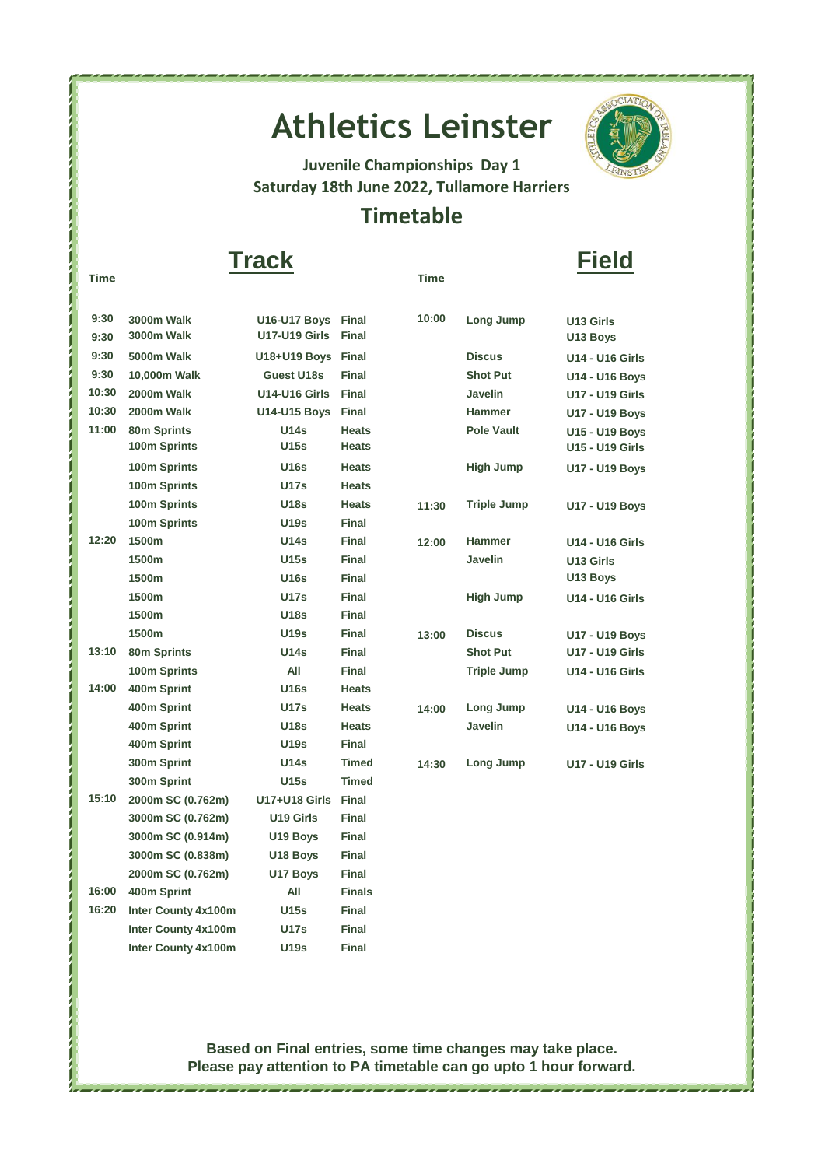# **Athletics Leinster**



**Juvenile Championships Day 1 Saturday 18th June 2022, Tullamore Harriers** 

### **Timetable**

#### **Time Time Track Field**

| 9:30  | <b>3000m Walk</b>          | U16-U17 Boys Final   |               | 10:00 | Long Jump          | U13 Girls              |
|-------|----------------------------|----------------------|---------------|-------|--------------------|------------------------|
| 9:30  | 3000m Walk                 | <b>U17-U19 Girls</b> | Final         |       |                    | U13 Boys               |
| 9:30  | 5000m Walk                 | U18+U19 Boys Final   |               |       | <b>Discus</b>      | <b>U14 - U16 Girls</b> |
| 9:30  | 10,000m Walk               | Guest U18s           | <b>Final</b>  |       | <b>Shot Put</b>    | U14 - U16 Boys         |
| 10:30 | 2000m Walk                 | <b>U14-U16 Girls</b> | <b>Final</b>  |       | Javelin            | <b>U17 - U19 Girls</b> |
| 10:30 | 2000m Walk                 | <b>U14-U15 Boys</b>  | <b>Final</b>  |       | <b>Hammer</b>      | U17 - U19 Boys         |
| 11:00 | 80m Sprints                | <b>U14s</b>          | <b>Heats</b>  |       | <b>Pole Vault</b>  | <b>U15 - U19 Boys</b>  |
|       | 100m Sprints               | <b>U15s</b>          | <b>Heats</b>  |       |                    | <b>U15 - U19 Girls</b> |
|       | 100m Sprints               | <b>U16s</b>          | <b>Heats</b>  |       | <b>High Jump</b>   | <b>U17 - U19 Boys</b>  |
|       | 100m Sprints               | <b>U17s</b>          | <b>Heats</b>  |       |                    |                        |
|       | 100m Sprints               | U18s                 | <b>Heats</b>  | 11:30 | <b>Triple Jump</b> | U17 - U19 Boys         |
|       | 100m Sprints               | <b>U19s</b>          | <b>Final</b>  |       |                    |                        |
| 12:20 | 1500m                      | <b>U14s</b>          | Final         | 12:00 | <b>Hammer</b>      | <b>U14 - U16 Girls</b> |
|       | 1500m                      | <b>U15s</b>          | <b>Final</b>  |       | <b>Javelin</b>     | U13 Girls              |
|       | 1500m                      | <b>U16s</b>          | Final         |       |                    | U13 Boys               |
|       | 1500m                      | <b>U17s</b>          | <b>Final</b>  |       | <b>High Jump</b>   | <b>U14 - U16 Girls</b> |
|       | 1500m                      | <b>U18s</b>          | <b>Final</b>  |       |                    |                        |
|       | 1500m                      | <b>U19s</b>          | Final         | 13:00 | <b>Discus</b>      | <b>U17 - U19 Boys</b>  |
| 13:10 | 80m Sprints                | U14s                 | Final         |       | <b>Shot Put</b>    | <b>U17 - U19 Girls</b> |
|       | 100m Sprints               | All                  | Final         |       | <b>Triple Jump</b> | <b>U14 - U16 Girls</b> |
| 14:00 | 400m Sprint                | <b>U16s</b>          | <b>Heats</b>  |       |                    |                        |
|       | 400m Sprint                | <b>U17s</b>          | <b>Heats</b>  | 14:00 | Long Jump          | U14 - U16 Boys         |
|       | 400m Sprint                | <b>U18s</b>          | <b>Heats</b>  |       | <b>Javelin</b>     | U14 - U16 Boys         |
|       | 400m Sprint                | <b>U19s</b>          | Final         |       |                    |                        |
|       | 300m Sprint                | <b>U14s</b>          | <b>Timed</b>  | 14:30 | Long Jump          | <b>U17 - U19 Girls</b> |
|       | 300m Sprint                | U15s                 | <b>Timed</b>  |       |                    |                        |
| 15:10 | 2000m SC (0.762m)          | <b>U17+U18 Girls</b> | <b>Final</b>  |       |                    |                        |
|       | 3000m SC (0.762m)          | U19 Girls            | <b>Final</b>  |       |                    |                        |
|       | 3000m SC (0.914m)          | U19 Boys             | <b>Final</b>  |       |                    |                        |
|       | 3000m SC (0.838m)          | U18 Boys             | <b>Final</b>  |       |                    |                        |
|       | 2000m SC (0.762m)          | U17 Boys             | Final         |       |                    |                        |
| 16:00 | 400m Sprint                | All                  | <b>Finals</b> |       |                    |                        |
| 16:20 | Inter County 4x100m        | <b>U15s</b>          | <b>Final</b>  |       |                    |                        |
|       | Inter County 4x100m        | <b>U17s</b>          | <b>Final</b>  |       |                    |                        |
|       | <b>Inter County 4x100m</b> | <b>U19s</b>          | <b>Final</b>  |       |                    |                        |

#### **Based on Final entries, some time changes may take place. Please pay attention to PA timetable can go upto 1 hour forward.**